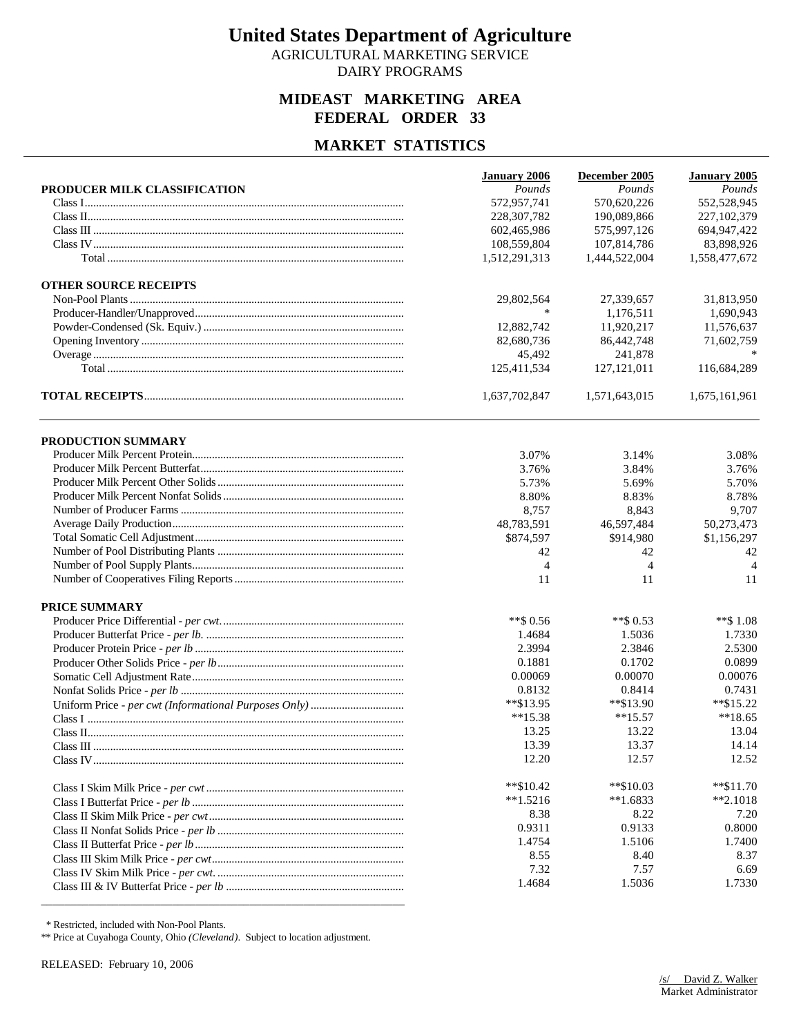AGRICULTURAL MARKETING SERVICE DAIRY PROGRAMS

## **MIDEAST MARKETING AREA FEDERAL ORDER 33**

### **MARKET STATISTICS**

|                              | <b>January 2006</b> | December 2005  | January 2005   |
|------------------------------|---------------------|----------------|----------------|
| PRODUCER MILK CLASSIFICATION | Pounds              | Pounds         | Pounds         |
|                              | 572,957,741         | 570,620,226    | 552,528,945    |
|                              | 228, 307, 782       | 190,089,866    | 227,102,379    |
|                              | 602,465,986         | 575,997,126    | 694, 947, 422  |
|                              | 108,559,804         | 107,814,786    | 83,898,926     |
|                              | 1,512,291,313       | 1,444,522,004  | 1,558,477,672  |
| <b>OTHER SOURCE RECEIPTS</b> |                     |                |                |
|                              | 29,802,564          | 27,339,657     | 31,813,950     |
|                              | $\ast$              | 1,176,511      | 1,690,943      |
|                              | 12,882,742          | 11,920,217     | 11,576,637     |
|                              | 82,680,736          | 86,442,748     | 71,602,759     |
|                              | 45,492              | 241,878        |                |
|                              | 125,411,534         | 127, 121, 011  | 116,684,289    |
|                              | 1,637,702,847       | 1,571,643,015  | 1,675,161,961  |
| PRODUCTION SUMMARY           |                     |                |                |
|                              | 3.07%               | 3.14%          | 3.08%          |
|                              | 3.76%               | 3.84%          | 3.76%          |
|                              | 5.73%               | 5.69%          | 5.70%          |
|                              | 8.80%               | 8.83%          | 8.78%          |
|                              | 8,757               | 8,843          | 9,707          |
|                              | 48,783,591          | 46,597,484     | 50,273,473     |
|                              | \$874,597           | \$914,980      | \$1,156,297    |
|                              | 42                  | 42             | 42             |
|                              | $\overline{4}$      | $\overline{4}$ | $\overline{4}$ |
|                              | 11                  | 11             | 11             |
| PRICE SUMMARY                |                     |                |                |
|                              | $**$ \$ 0.56        | $**$ \$ 0.53   | **\$1.08       |
|                              | 1.4684              | 1.5036         | 1.7330         |
|                              | 2.3994              | 2.3846         | 2.5300         |
|                              | 0.1881              | 0.1702         | 0.0899         |
|                              | 0.00069             | 0.00070        | 0.00076        |
|                              | 0.8132              | 0.8414         | 0.7431         |
|                              | **\$13.95           | $*$ \$13.90    | $*$ \$15.22    |
|                              | $**15.38$           | $**15.57$      | $**18.65$      |
|                              | 13.25               | 13.22          | 13.04          |
|                              | 13.39               | 13.37          | 14.14          |
|                              | 12.20               | 12.57          | 12.52          |
|                              | $*$ \$10.42         | $*$ $$10.03$   | $**\$11.70$    |
|                              | $**1.5216$          | $*1.6833$      | $*2.1018$      |
|                              | 8.38                | 8.22           | 7.20           |
|                              | 0.9311              | 0.9133         | 0.8000         |
|                              | 1.4754              | 1.5106         | 1.7400         |
|                              | 8.55                | 8.40           | 8.37           |
|                              | 7.32                | 7.57           | 6.69           |
|                              | 1.4684              | 1.5036         | 1.7330         |
|                              |                     |                |                |

\* Restricted, included with Non-Pool Plants.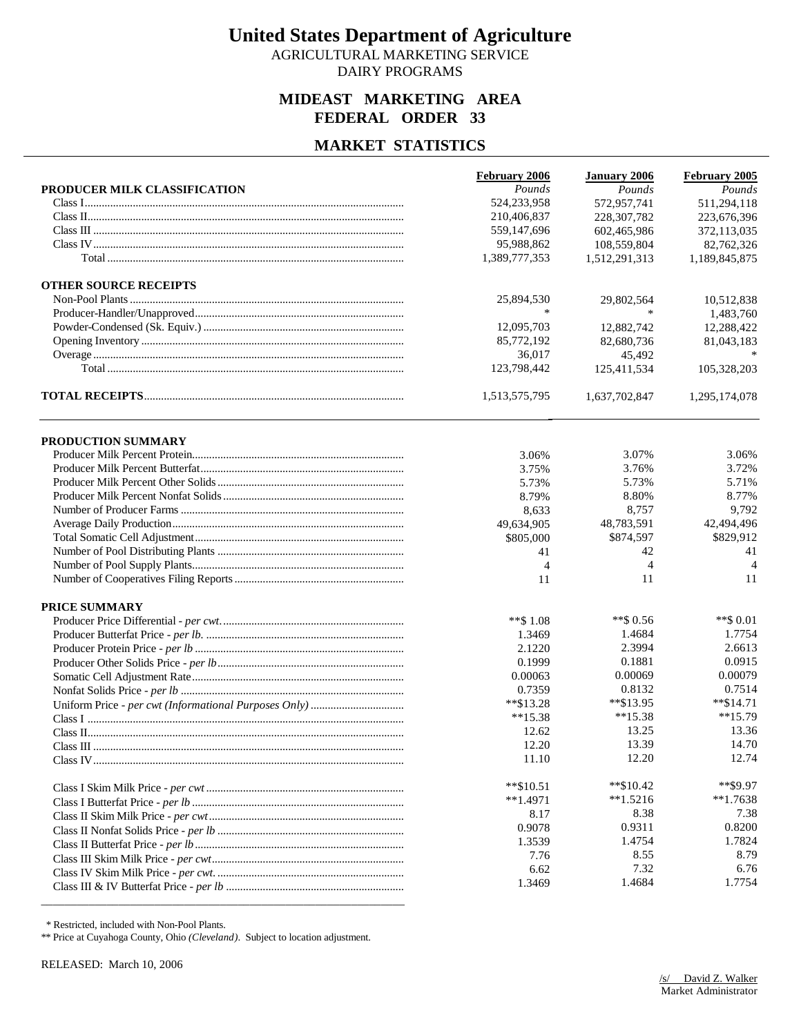AGRICULTURAL MARKETING SERVICE DAIRY PROGRAMS

## **MIDEAST MARKETING AREA FEDERAL ORDER 33**

## **MARKET STATISTICS**

| February 2005<br>PRODUCER MILK CLASSIFICATION<br>Pounds<br>Pounds<br>Pounds<br>524,233,958<br>572,957,741<br>511,294,118<br>210,406,837<br>228, 307, 782<br>223,676,396<br>559,147,696<br>602,465,986<br>372,113,035<br>95,988,862<br>108,559,804<br>82,762,326<br>1,389,777,353<br>1,512,291,313<br>1,189,845,875<br><b>OTHER SOURCE RECEIPTS</b><br>25,894,530<br>29,802,564<br>10,512,838<br>1,483,760<br>*<br>12,095,703<br>12,882,742<br>12,288,422<br>85,772,192<br>82,680,736<br>81,043,183<br>36,017<br>45,492<br>123,798,442<br>105,328,203<br>125,411,534<br>1,513,575,795<br>1,637,702,847<br>1,295,174,078<br>PRODUCTION SUMMARY<br>3.07%<br>3.06%<br>3.06%<br>3.76%<br>3.75%<br>3.72%<br>5.73%<br>5.71%<br>5.73%<br>8.80%<br>8.77%<br>8.79%<br>8,757<br>9,792<br>8,633<br>48,783,591<br>42,494,496<br>49,634,905<br>\$829,912<br>\$805,000<br>\$874,597<br>41<br>41<br>42<br>$\overline{4}$<br>$\overline{4}$<br>$\overline{4}$<br>11<br>11<br>11<br><b>PRICE SUMMARY</b><br>$**$ \$ 0.56<br>$**$ \$ 0.01<br>$**$ \$ 1.08<br>1.7754<br>1.4684<br>1.3469 |
|----------------------------------------------------------------------------------------------------------------------------------------------------------------------------------------------------------------------------------------------------------------------------------------------------------------------------------------------------------------------------------------------------------------------------------------------------------------------------------------------------------------------------------------------------------------------------------------------------------------------------------------------------------------------------------------------------------------------------------------------------------------------------------------------------------------------------------------------------------------------------------------------------------------------------------------------------------------------------------------------------------------------------------------------------------------------|
|                                                                                                                                                                                                                                                                                                                                                                                                                                                                                                                                                                                                                                                                                                                                                                                                                                                                                                                                                                                                                                                                      |
|                                                                                                                                                                                                                                                                                                                                                                                                                                                                                                                                                                                                                                                                                                                                                                                                                                                                                                                                                                                                                                                                      |
|                                                                                                                                                                                                                                                                                                                                                                                                                                                                                                                                                                                                                                                                                                                                                                                                                                                                                                                                                                                                                                                                      |
|                                                                                                                                                                                                                                                                                                                                                                                                                                                                                                                                                                                                                                                                                                                                                                                                                                                                                                                                                                                                                                                                      |
|                                                                                                                                                                                                                                                                                                                                                                                                                                                                                                                                                                                                                                                                                                                                                                                                                                                                                                                                                                                                                                                                      |
|                                                                                                                                                                                                                                                                                                                                                                                                                                                                                                                                                                                                                                                                                                                                                                                                                                                                                                                                                                                                                                                                      |
|                                                                                                                                                                                                                                                                                                                                                                                                                                                                                                                                                                                                                                                                                                                                                                                                                                                                                                                                                                                                                                                                      |
|                                                                                                                                                                                                                                                                                                                                                                                                                                                                                                                                                                                                                                                                                                                                                                                                                                                                                                                                                                                                                                                                      |
|                                                                                                                                                                                                                                                                                                                                                                                                                                                                                                                                                                                                                                                                                                                                                                                                                                                                                                                                                                                                                                                                      |
|                                                                                                                                                                                                                                                                                                                                                                                                                                                                                                                                                                                                                                                                                                                                                                                                                                                                                                                                                                                                                                                                      |
|                                                                                                                                                                                                                                                                                                                                                                                                                                                                                                                                                                                                                                                                                                                                                                                                                                                                                                                                                                                                                                                                      |
|                                                                                                                                                                                                                                                                                                                                                                                                                                                                                                                                                                                                                                                                                                                                                                                                                                                                                                                                                                                                                                                                      |
|                                                                                                                                                                                                                                                                                                                                                                                                                                                                                                                                                                                                                                                                                                                                                                                                                                                                                                                                                                                                                                                                      |
|                                                                                                                                                                                                                                                                                                                                                                                                                                                                                                                                                                                                                                                                                                                                                                                                                                                                                                                                                                                                                                                                      |
|                                                                                                                                                                                                                                                                                                                                                                                                                                                                                                                                                                                                                                                                                                                                                                                                                                                                                                                                                                                                                                                                      |
|                                                                                                                                                                                                                                                                                                                                                                                                                                                                                                                                                                                                                                                                                                                                                                                                                                                                                                                                                                                                                                                                      |
|                                                                                                                                                                                                                                                                                                                                                                                                                                                                                                                                                                                                                                                                                                                                                                                                                                                                                                                                                                                                                                                                      |
|                                                                                                                                                                                                                                                                                                                                                                                                                                                                                                                                                                                                                                                                                                                                                                                                                                                                                                                                                                                                                                                                      |
|                                                                                                                                                                                                                                                                                                                                                                                                                                                                                                                                                                                                                                                                                                                                                                                                                                                                                                                                                                                                                                                                      |
|                                                                                                                                                                                                                                                                                                                                                                                                                                                                                                                                                                                                                                                                                                                                                                                                                                                                                                                                                                                                                                                                      |
|                                                                                                                                                                                                                                                                                                                                                                                                                                                                                                                                                                                                                                                                                                                                                                                                                                                                                                                                                                                                                                                                      |
|                                                                                                                                                                                                                                                                                                                                                                                                                                                                                                                                                                                                                                                                                                                                                                                                                                                                                                                                                                                                                                                                      |
|                                                                                                                                                                                                                                                                                                                                                                                                                                                                                                                                                                                                                                                                                                                                                                                                                                                                                                                                                                                                                                                                      |
|                                                                                                                                                                                                                                                                                                                                                                                                                                                                                                                                                                                                                                                                                                                                                                                                                                                                                                                                                                                                                                                                      |
|                                                                                                                                                                                                                                                                                                                                                                                                                                                                                                                                                                                                                                                                                                                                                                                                                                                                                                                                                                                                                                                                      |
|                                                                                                                                                                                                                                                                                                                                                                                                                                                                                                                                                                                                                                                                                                                                                                                                                                                                                                                                                                                                                                                                      |
|                                                                                                                                                                                                                                                                                                                                                                                                                                                                                                                                                                                                                                                                                                                                                                                                                                                                                                                                                                                                                                                                      |
|                                                                                                                                                                                                                                                                                                                                                                                                                                                                                                                                                                                                                                                                                                                                                                                                                                                                                                                                                                                                                                                                      |
| 2.3994<br>2.6613<br>2.1220                                                                                                                                                                                                                                                                                                                                                                                                                                                                                                                                                                                                                                                                                                                                                                                                                                                                                                                                                                                                                                           |
| 0.1881<br>0.0915<br>0.1999                                                                                                                                                                                                                                                                                                                                                                                                                                                                                                                                                                                                                                                                                                                                                                                                                                                                                                                                                                                                                                           |
| 0.00069<br>0.00079<br>0.00063                                                                                                                                                                                                                                                                                                                                                                                                                                                                                                                                                                                                                                                                                                                                                                                                                                                                                                                                                                                                                                        |
| 0.8132<br>0.7514<br>0.7359                                                                                                                                                                                                                                                                                                                                                                                                                                                                                                                                                                                                                                                                                                                                                                                                                                                                                                                                                                                                                                           |
| $*$ \$14.71<br>$*$ \$13.28<br>$*$ $$13.95$                                                                                                                                                                                                                                                                                                                                                                                                                                                                                                                                                                                                                                                                                                                                                                                                                                                                                                                                                                                                                           |
| $**15.79$<br>$**15.38$<br>$**15.38$                                                                                                                                                                                                                                                                                                                                                                                                                                                                                                                                                                                                                                                                                                                                                                                                                                                                                                                                                                                                                                  |
| 13.25<br>13.36<br>12.62                                                                                                                                                                                                                                                                                                                                                                                                                                                                                                                                                                                                                                                                                                                                                                                                                                                                                                                                                                                                                                              |
| 13.39<br>14.70<br>12.20                                                                                                                                                                                                                                                                                                                                                                                                                                                                                                                                                                                                                                                                                                                                                                                                                                                                                                                                                                                                                                              |
| 11.10<br>12.20<br>12.74                                                                                                                                                                                                                                                                                                                                                                                                                                                                                                                                                                                                                                                                                                                                                                                                                                                                                                                                                                                                                                              |
| **\$9.97<br>$*$ \$10.42<br>$*$ $$10.51$                                                                                                                                                                                                                                                                                                                                                                                                                                                                                                                                                                                                                                                                                                                                                                                                                                                                                                                                                                                                                              |
| $*1.5216$<br>$*1.7638$<br>$**1.4971$                                                                                                                                                                                                                                                                                                                                                                                                                                                                                                                                                                                                                                                                                                                                                                                                                                                                                                                                                                                                                                 |
| 8.38<br>7.38<br>8.17                                                                                                                                                                                                                                                                                                                                                                                                                                                                                                                                                                                                                                                                                                                                                                                                                                                                                                                                                                                                                                                 |
| 0.9311<br>0.8200<br>0.9078                                                                                                                                                                                                                                                                                                                                                                                                                                                                                                                                                                                                                                                                                                                                                                                                                                                                                                                                                                                                                                           |
| 1.4754<br>1.7824<br>1.3539                                                                                                                                                                                                                                                                                                                                                                                                                                                                                                                                                                                                                                                                                                                                                                                                                                                                                                                                                                                                                                           |
| 8.55<br>8.79<br>7.76                                                                                                                                                                                                                                                                                                                                                                                                                                                                                                                                                                                                                                                                                                                                                                                                                                                                                                                                                                                                                                                 |
| 7.32<br>6.76<br>6.62                                                                                                                                                                                                                                                                                                                                                                                                                                                                                                                                                                                                                                                                                                                                                                                                                                                                                                                                                                                                                                                 |
| 1.4684<br>1.7754<br>1.3469                                                                                                                                                                                                                                                                                                                                                                                                                                                                                                                                                                                                                                                                                                                                                                                                                                                                                                                                                                                                                                           |

\* Restricted, included with Non-Pool Plants.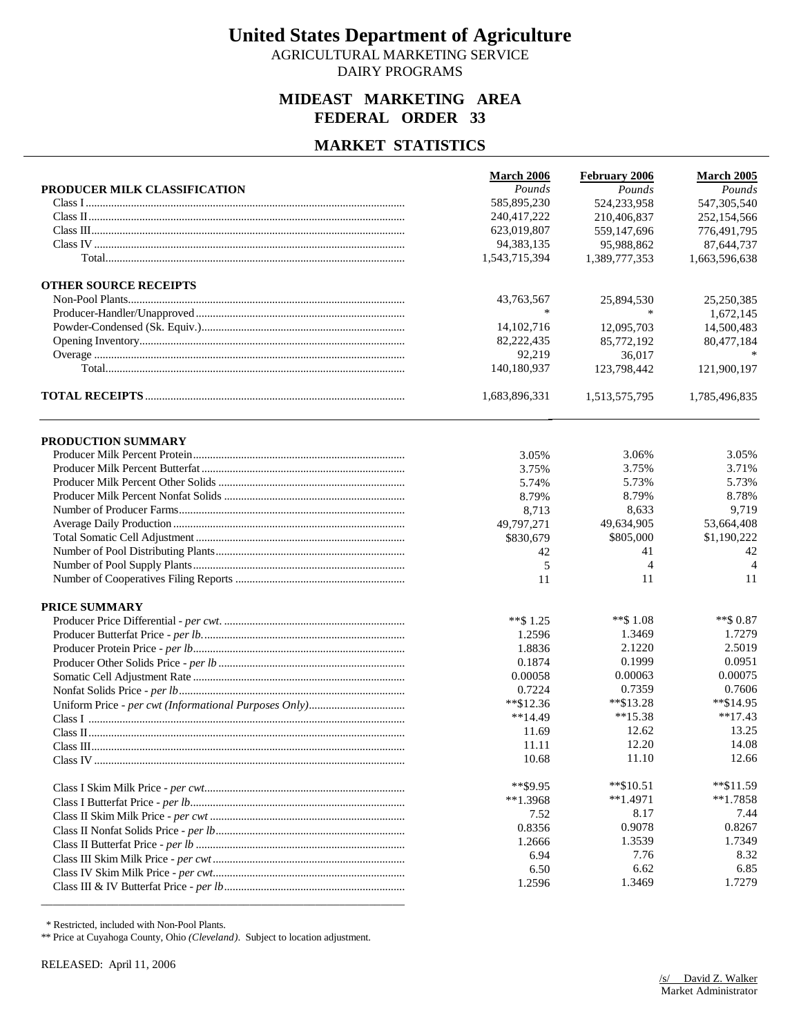AGRICULTURAL MARKETING SERVICE DAIRY PROGRAMS

## **MIDEAST MARKETING AREA FEDERAL ORDER 33**

### **MARKET STATISTICS**

|                              | March 2006    | <b>February 2006</b> | <b>March 2005</b> |
|------------------------------|---------------|----------------------|-------------------|
| PRODUCER MILK CLASSIFICATION | Pounds        | Pounds               | Pounds            |
|                              | 585,895,230   | 524,233,958          | 547,305,540       |
|                              | 240,417,222   | 210,406,837          | 252,154,566       |
|                              | 623,019,807   | 559,147,696          | 776,491,795       |
|                              | 94, 383, 135  | 95,988,862           | 87,644,737        |
|                              | 1,543,715,394 | 1,389,777,353        | 1,663,596,638     |
| <b>OTHER SOURCE RECEIPTS</b> |               |                      |                   |
|                              | 43,763,567    | 25,894,530           | 25,250,385        |
|                              | ∗             | $\ast$               | 1,672,145         |
|                              | 14, 102, 716  | 12,095,703           | 14,500,483        |
|                              | 82,222,435    | 85,772,192           | 80,477,184        |
|                              | 92,219        | 36,017               |                   |
|                              | 140,180,937   | 123,798,442          | 121,900,197       |
|                              | 1,683,896,331 | 1,513,575,795        | 1,785,496,835     |
| PRODUCTION SUMMARY           |               |                      |                   |
|                              | 3.05%         | 3.06%                | 3.05%             |
|                              | 3.75%         | 3.75%                | 3.71%             |
|                              | 5.74%         | 5.73%                | 5.73%             |
|                              | 8.79%         | 8.79%                | 8.78%             |
|                              | 8,713         | 8,633                | 9,719             |
|                              | 49,797,271    | 49,634,905           | 53,664,408        |
|                              | \$830,679     | \$805,000            | \$1,190,222       |
|                              | 42            | 41                   | 42                |
|                              | 5             | 4                    | $\overline{4}$    |
|                              | 11            | 11                   | 11                |
| <b>PRICE SUMMARY</b>         |               |                      |                   |
|                              | $**$ \$ 1.25  | $**$ \$1.08          | $**$ \$ 0.87      |
|                              | 1.2596        | 1.3469               | 1.7279            |
|                              | 1.8836        | 2.1220               | 2.5019            |
|                              | 0.1874        | 0.1999               | 0.0951            |
|                              | 0.00058       | 0.00063              | 0.00075           |
|                              | 0.7224        | 0.7359               | 0.7606            |
|                              | $*$ \$12.36   | $*$ $$13.28$         | $*$ \$14.95       |
|                              | $**14.49$     | $**15.38$            | $**17.43$         |
|                              | 11.69         | 12.62                | 13.25             |
|                              | 11.11         | 12.20                | 14.08             |
|                              | 10.68         | 11.10                | 12.66             |
|                              | $*$ $$9.95$   | $*$ \$10.51          | $*$ \$11.59       |
|                              | $**1.3968$    | $*1.4971$            | $*1.7858$         |
|                              | 7.52          | 8.17                 | 7.44              |
|                              | 0.8356        | 0.9078               | 0.8267            |
|                              | 1.2666        | 1.3539               | 1.7349            |
|                              | 6.94          | 7.76                 | 8.32              |
|                              | 6.50          | 6.62                 | 6.85              |
|                              | 1.2596        | 1.3469               | 1.7279            |
|                              |               |                      |                   |

\* Restricted, included with Non-Pool Plants.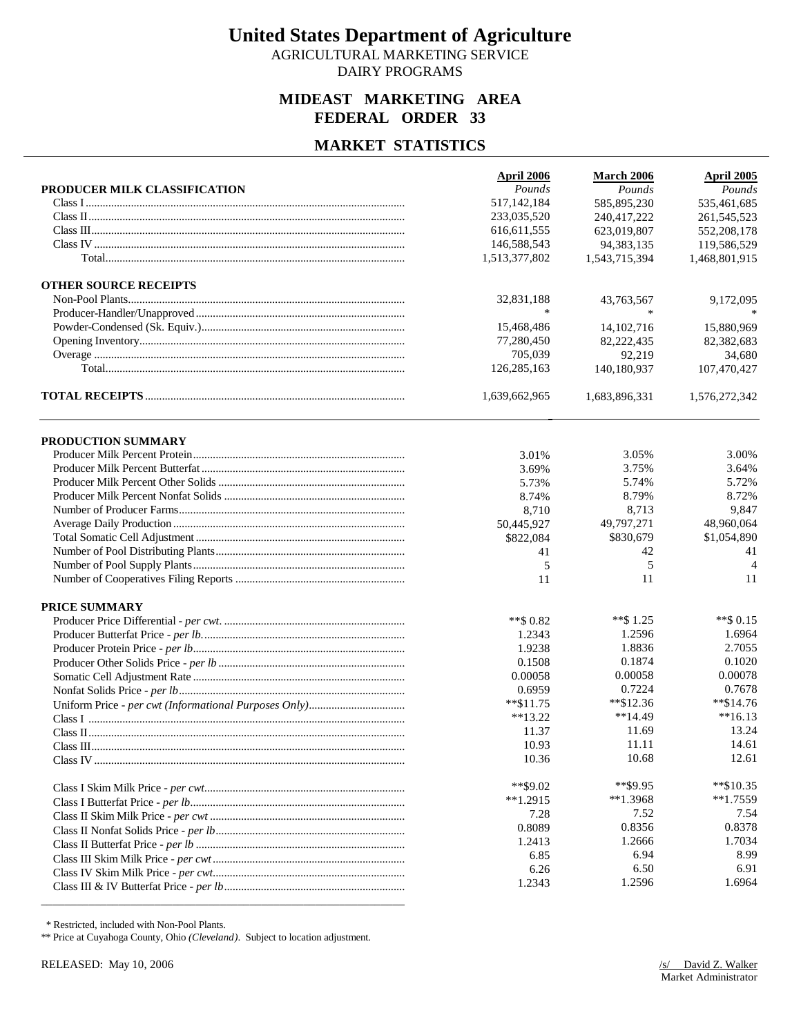AGRICULTURAL MARKETING SERVICE DAIRY PROGRAMS

## **MIDEAST MARKETING AREA FEDERAL ORDER 33**

### **MARKET STATISTICS**

|                              | April 2006    | <b>March 2006</b> | <b>April 2005</b> |
|------------------------------|---------------|-------------------|-------------------|
| PRODUCER MILK CLASSIFICATION | Pounds        | Pounds            | Pounds            |
|                              | 517,142,184   | 585,895,230       | 535,461,685       |
|                              | 233,035,520   | 240,417,222       | 261,545,523       |
|                              | 616, 611, 555 | 623,019,807       | 552,208,178       |
|                              | 146,588,543   | 94, 383, 135      | 119,586,529       |
|                              | 1,513,377,802 | 1,543,715,394     | 1,468,801,915     |
| <b>OTHER SOURCE RECEIPTS</b> |               |                   |                   |
|                              | 32,831,188    | 43,763,567        | 9,172,095         |
|                              | $\ast$        | $\ast$            |                   |
|                              | 15,468,486    | 14, 102, 716      | 15,880,969        |
|                              | 77,280,450    | 82,222,435        | 82,382,683        |
|                              | 705,039       | 92,219            | 34,680            |
|                              | 126,285,163   | 140,180,937       | 107,470,427       |
|                              | 1,639,662,965 | 1,683,896,331     | 1,576,272,342     |
| PRODUCTION SUMMARY           |               |                   |                   |
|                              | 3.01%         | 3.05%             | 3.00%             |
|                              | 3.69%         | 3.75%             | 3.64%             |
|                              | 5.73%         | 5.74%             | 5.72%             |
|                              | 8.74%         | 8.79%             | 8.72%             |
|                              | 8,710         | 8,713             | 9,847             |
|                              | 50,445,927    | 49,797,271        | 48,960,064        |
|                              | \$822,084     | \$830,679         | \$1,054,890       |
|                              | 41            | 42                | 41                |
|                              | 5             | 5                 | $\overline{4}$    |
|                              | 11            | 11                | 11                |
| PRICE SUMMARY                |               |                   |                   |
|                              | $**$ \$ 0.82  | **\$ 1.25         | $**$ \$ 0.15      |
|                              | 1.2343        | 1.2596            | 1.6964            |
|                              | 1.9238        | 1.8836            | 2.7055            |
|                              | 0.1508        | 0.1874            | 0.1020            |
|                              | 0.00058       | 0.00058           | 0.00078           |
|                              | 0.6959        | 0.7224            | 0.7678            |
|                              | $*$ $$11.75$  | $*$ \$12.36       | $*$ \$14.76       |
|                              | $**13.22$     | $**14.49$         | $**16.13$         |
|                              | 11.37         | 11.69             | 13.24             |
|                              | 10.93         | 11.11             | 14.61             |
|                              | 10.36         | 10.68             | 12.61             |
|                              | $*$ \$9.02    | **\$9.95          | $*$ \$10.35       |
|                              | $**1.2915$    | $*1.3968$         | $*1.7559$         |
|                              | 7.28          | 7.52              | 7.54              |
|                              | 0.8089        | 0.8356            | 0.8378            |
|                              | 1.2413        | 1.2666            | 1.7034            |
|                              | 6.85          | 6.94              | 8.99              |
|                              | 6.26          | 6.50              | 6.91              |
|                              | 1.2343        | 1.2596            | 1.6964            |
|                              |               |                   |                   |

\* Restricted, included with Non-Pool Plants.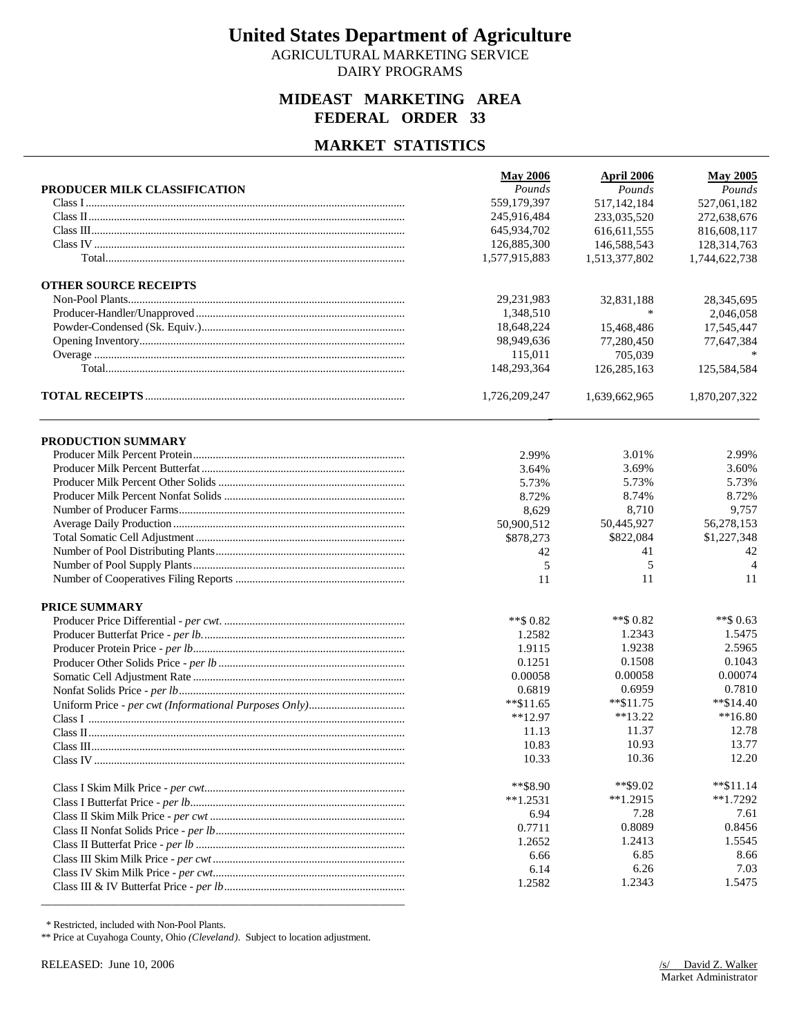AGRICULTURAL MARKETING SERVICE DAIRY PROGRAMS

## **MIDEAST MARKETING AREA FEDERAL ORDER 33**

## **MARKET STATISTICS**

|                              | <b>May 2006</b> | <b>April 2006</b> | <b>May 2005</b> |
|------------------------------|-----------------|-------------------|-----------------|
| PRODUCER MILK CLASSIFICATION | Pounds          | Pounds            | Pounds          |
|                              | 559,179,397     | 517,142,184       | 527,061,182     |
|                              | 245,916,484     | 233,035,520       | 272,638,676     |
|                              | 645,934,702     | 616, 611, 555     | 816,608,117     |
|                              | 126,885,300     | 146,588,543       | 128,314,763     |
|                              | 1,577,915,883   | 1,513,377,802     | 1,744,622,738   |
| <b>OTHER SOURCE RECEIPTS</b> |                 |                   |                 |
|                              | 29,231,983      | 32,831,188        | 28,345,695      |
|                              | 1,348,510       | $\ast$            | 2,046,058       |
|                              | 18,648,224      | 15,468,486        | 17,545,447      |
|                              | 98,949,636      | 77,280,450        | 77,647,384      |
|                              | 115,011         | 705,039           |                 |
|                              | 148,293,364     | 126,285,163       | 125,584,584     |
|                              | 1,726,209,247   | 1,639,662,965     | 1,870,207,322   |
| <b>PRODUCTION SUMMARY</b>    |                 |                   |                 |
|                              | 2.99%           | 3.01%             | 2.99%           |
|                              | 3.64%           | 3.69%             | 3.60%           |
|                              | 5.73%           | 5.73%             | 5.73%           |
|                              | 8.72%           | 8.74%             | 8.72%           |
|                              | 8,629           | 8,710             | 9,757           |
|                              | 50,900,512      | 50,445,927        | 56,278,153      |
|                              | \$878,273       | \$822,084         | \$1,227,348     |
|                              | 42              | 41                | 42              |
|                              | 5               | 5                 | $\overline{4}$  |
|                              | 11              | 11                | 11              |
| PRICE SUMMARY                |                 |                   |                 |
|                              | $**$ \$ 0.82    | **\$ $0.82$       | **\$ 0.63       |
|                              | 1.2582          | 1.2343            | 1.5475          |
|                              | 1.9115          | 1.9238            | 2.5965          |
|                              | 0.1251          | 0.1508            | 0.1043          |
|                              | 0.00058         | 0.00058           | 0.00074         |
|                              | 0.6819          | 0.6959            | 0.7810          |
|                              | $*$ \$11.65     | $*$ \$11.75       | $*$ \$14.40     |
|                              | $**12.97$       | $**13.22$         | $**16.80$       |
|                              | 11.13           | 11.37             | 12.78           |
|                              | 10.83           | 10.93             | 13.77           |
|                              | 10.33           | 10.36             | 12.20           |
|                              | $*$ $*$ \$8.90  | $*$ \$9.02        | $*$ $$11.14$    |
|                              | $**1.2531$      | $**1.2915$        | $*1.7292$       |
|                              | 6.94            | 7.28              | 7.61            |
|                              | 0.7711          | 0.8089            | 0.8456          |
|                              | 1.2652          | 1.2413            | 1.5545          |
|                              | 6.66            | 6.85              | 8.66            |
|                              | 6.14            | 6.26              | 7.03            |
|                              | 1.2582          | 1.2343            | 1.5475          |
|                              |                 |                   |                 |

\* Restricted, included with Non-Pool Plants.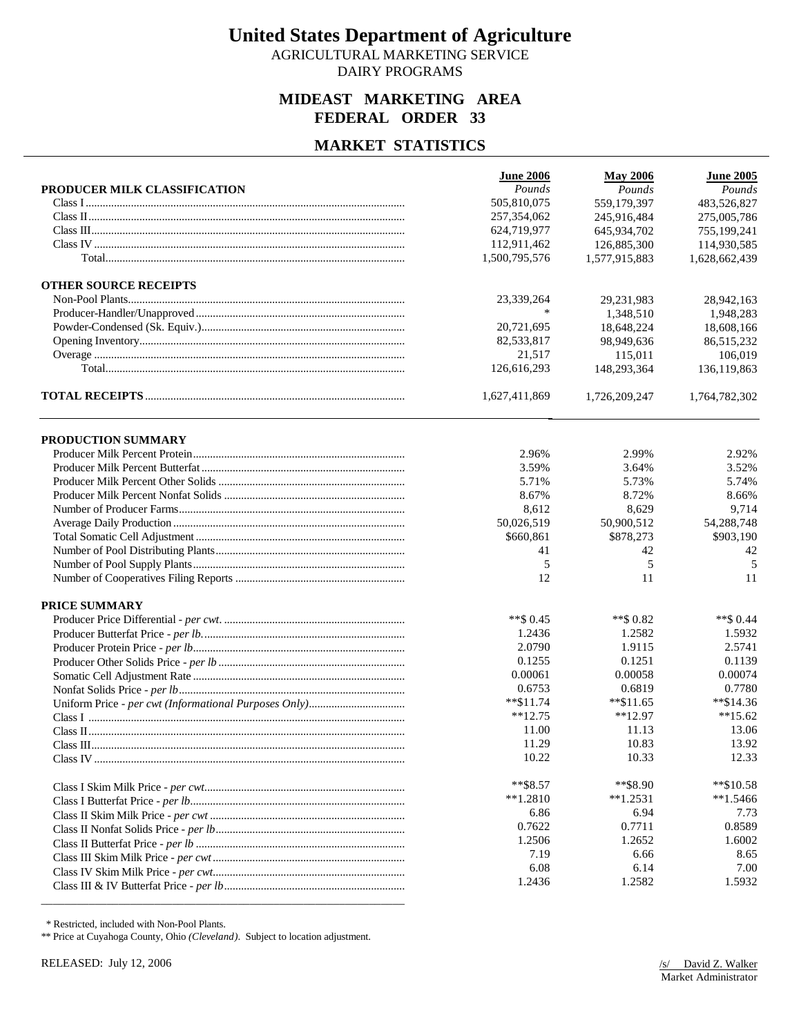AGRICULTURAL MARKETING SERVICE DAIRY PROGRAMS

## **MIDEAST MARKETING AREA FEDERAL ORDER 33**

### **MARKET STATISTICS**

|                              | <b>June 2006</b> | <b>May 2006</b> | <b>June 2005</b> |
|------------------------------|------------------|-----------------|------------------|
| PRODUCER MILK CLASSIFICATION | Pounds           | Pounds          | Pounds           |
|                              | 505,810,075      | 559,179,397     | 483,526,827      |
|                              | 257,354,062      | 245,916,484     | 275,005,786      |
|                              | 624,719,977      | 645,934,702     | 755,199,241      |
|                              | 112,911,462      | 126,885,300     | 114,930,585      |
|                              | 1,500,795,576    | 1,577,915,883   | 1,628,662,439    |
| <b>OTHER SOURCE RECEIPTS</b> |                  |                 |                  |
|                              | 23,339,264       | 29,231,983      | 28,942,163       |
|                              | $\ast$           | 1,348,510       | 1,948,283        |
|                              | 20,721,695       | 18,648,224      | 18,608,166       |
|                              | 82,533,817       | 98,949,636      | 86,515,232       |
|                              | 21,517           | 115,011         | 106,019          |
|                              | 126,616,293      | 148,293,364     | 136,119,863      |
|                              | 1,627,411,869    | 1,726,209,247   | 1,764,782,302    |
| PRODUCTION SUMMARY           |                  |                 |                  |
|                              | 2.96%            | 2.99%           | 2.92%            |
|                              | 3.59%            | 3.64%           | 3.52%            |
|                              | 5.71%            | 5.73%           | 5.74%            |
|                              | 8.67%            | 8.72%           | 8.66%            |
|                              | 8,612            | 8,629           | 9,714            |
|                              | 50,026,519       | 50,900,512      | 54,288,748       |
|                              | \$660,861        | \$878,273       | \$903,190        |
|                              | 41               | 42              | 42               |
|                              | 5                | 5               | 5                |
|                              | 12               | 11              | 11               |
| <b>PRICE SUMMARY</b>         |                  |                 |                  |
|                              | $**$ \$ 0.45     | **\$ 0.82       | $**$ \$ 0.44     |
|                              | 1.2436           | 1.2582          | 1.5932           |
|                              | 2.0790           | 1.9115          | 2.5741           |
|                              | 0.1255           | 0.1251          | 0.1139           |
|                              | 0.00061          | 0.00058         | 0.00074          |
|                              | 0.6753           | 0.6819          | 0.7780           |
|                              | $*$ $$11.74$     | $*$ $$11.65$    | $*$ \$14.36      |
|                              | $**12.75$        | $*12.97$        | $**15.62$        |
|                              | 11.00            | 11.13           | 13.06            |
|                              | 11.29            | 10.83           | 13.92            |
|                              | 10.22            | 10.33           | 12.33            |
|                              | $**$ \$8.57      | **\$8.90        | **\$10.58        |
|                              | $**1.2810$       | $*1.2531$       | $*1.5466$        |
|                              | 6.86             | 6.94            | 7.73             |
|                              | 0.7622           | 0.7711          | 0.8589           |
|                              | 1.2506           | 1.2652          | 1.6002           |
|                              | 7.19             | 6.66            | 8.65             |
|                              | 6.08             | 6.14            | 7.00             |
|                              | 1.2436           | 1.2582          | 1.5932           |
|                              |                  |                 |                  |

\* Restricted, included with Non-Pool Plants.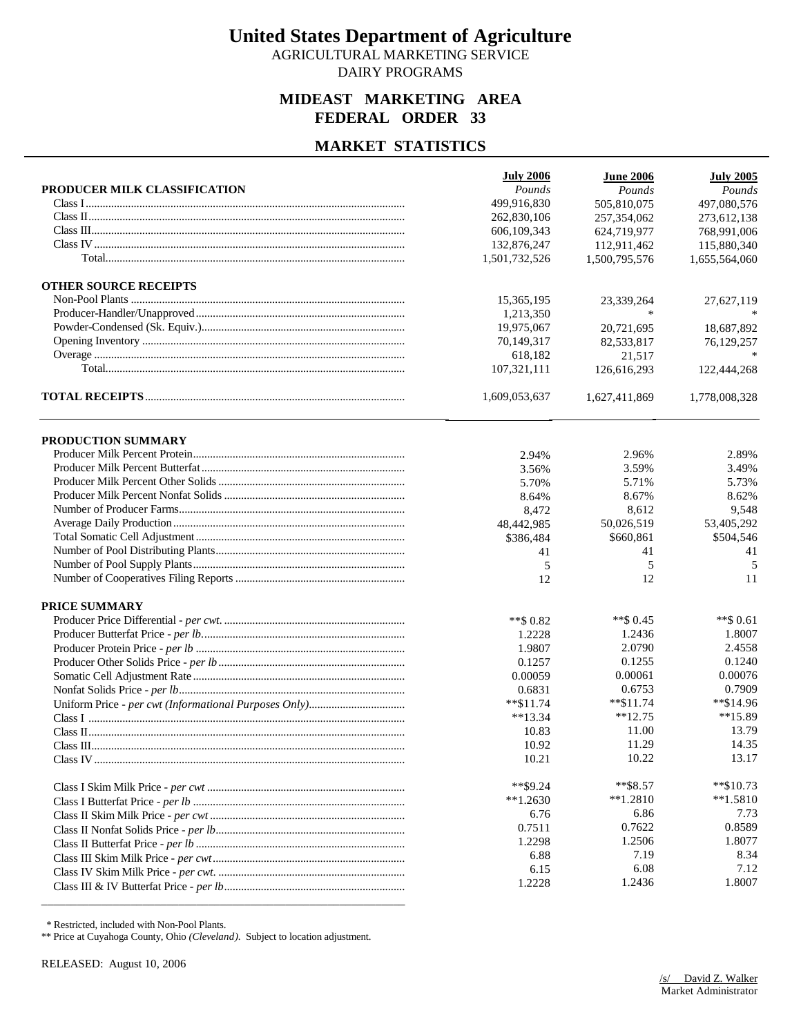AGRICULTURAL MARKETING SERVICE DAIRY PROGRAMS

## **MIDEAST MARKETING AREA FEDERAL ORDER 33**

## **MARKET STATISTICS**

|                              | <b>July 2006</b> | <b>June 2006</b> | <b>July 2005</b> |
|------------------------------|------------------|------------------|------------------|
| PRODUCER MILK CLASSIFICATION | Pounds           | Pounds           | Pounds           |
|                              | 499,916,830      | 505,810,075      | 497,080,576      |
|                              | 262,830,106      | 257,354,062      | 273,612,138      |
|                              | 606,109,343      | 624,719,977      | 768,991,006      |
|                              | 132,876,247      | 112,911,462      | 115,880,340      |
|                              | 1,501,732,526    | 1,500,795,576    | 1,655,564,060    |
| <b>OTHER SOURCE RECEIPTS</b> |                  |                  |                  |
|                              | 15,365,195       | 23,339,264       | 27,627,119       |
|                              | 1.213.350        | *                |                  |
|                              | 19,975,067       | 20,721,695       | 18,687,892       |
|                              | 70,149,317       | 82,533,817       | 76,129,257       |
|                              | 618,182          | 21,517           |                  |
|                              | 107,321,111      | 126,616,293      | 122,444,268      |
|                              | 1,609,053,637    | 1,627,411,869    | 1,778,008,328    |
| PRODUCTION SUMMARY           |                  |                  |                  |
|                              | 2.94%            | 2.96%            | 2.89%            |
|                              | 3.56%            | 3.59%            | 3.49%            |
|                              | 5.70%            | 5.71%            | 5.73%            |
|                              | 8.64%            | 8.67%            | 8.62%            |
|                              | 8,472            | 8,612            | 9,548            |
|                              | 48,442,985       | 50,026,519       | 53,405,292       |
|                              | \$386,484        | \$660,861        | \$504,546        |
|                              | 41               | 41               | 41               |
|                              | 5                | 5                | 5                |
|                              | 12               | 12               | 11               |
| <b>PRICE SUMMARY</b>         |                  |                  |                  |
|                              | $**$ \$ 0.82     | $**$ \$ 0.45     | $**$ \$ 0.61     |
|                              | 1.2228           | 1.2436           | 1.8007           |
|                              | 1.9807           | 2.0790           | 2.4558           |
|                              | 0.1257           | 0.1255           | 0.1240           |
|                              | 0.00059          | 0.00061          | 0.00076          |
|                              | 0.6831           | 0.6753           | 0.7909           |
|                              | $*$ $$11.74$     | $*$ \$11.74      | **\$14.96        |
|                              | $**13.34$        | $**12.75$        | $**15.89$        |
|                              | 10.83            | 11.00            | 13.79            |
|                              | 10.92            | 11.29            | 14.35            |
|                              | 10.21            | 10.22            | 13.17            |
|                              | $*$ $$9.24$      | $*$ $$8.57$      | $*$ \$10.73      |
|                              | $**1.2630$       | $*1.2810$        | $*1.5810$        |
|                              | 6.76             | 6.86             | 7.73             |
|                              | 0.7511           | 0.7622           | 0.8589           |
|                              | 1.2298           | 1.2506           | 1.8077           |
|                              | 6.88             | 7.19             | 8.34             |
|                              | 6.15             | 6.08             | 7.12             |
|                              | 1.2228           | 1.2436           | 1.8007           |

\* Restricted, included with Non-Pool Plants.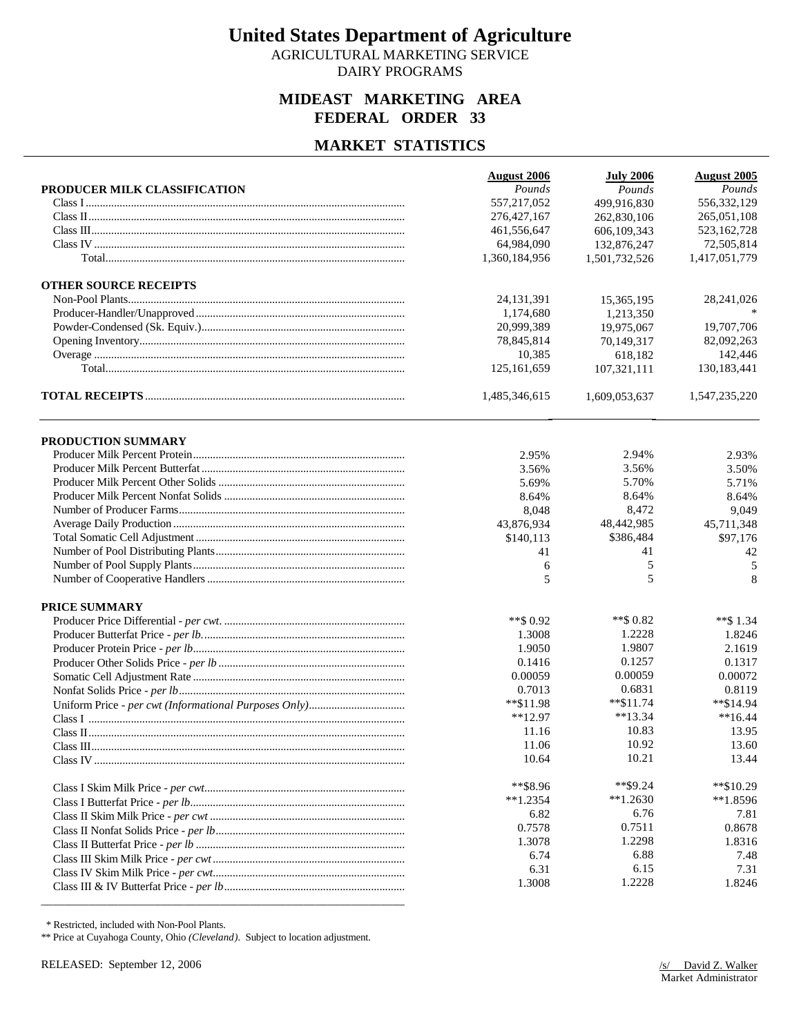AGRICULTURAL MARKETING SERVICE DAIRY PROGRAMS

## **MIDEAST MARKETING AREA FEDERAL ORDER 33**

## **MARKET STATISTICS**

|                              | <b>August 2006</b> | <b>July 2006</b> | <b>August 2005</b> |
|------------------------------|--------------------|------------------|--------------------|
| PRODUCER MILK CLASSIFICATION | Pounds             | Pounds           | Pounds             |
|                              | 557,217,052        | 499,916,830      | 556,332,129        |
|                              | 276, 427, 167      | 262,830,106      | 265,051,108        |
|                              | 461,556,647        | 606,109,343      | 523, 162, 728      |
|                              | 64,984,090         | 132,876,247      | 72,505,814         |
|                              | 1,360,184,956      | 1,501,732,526    | 1,417,051,779      |
| <b>OTHER SOURCE RECEIPTS</b> |                    |                  |                    |
|                              | 24, 131, 391       | 15,365,195       | 28,241,026         |
|                              | 1,174,680          | 1,213,350        |                    |
|                              | 20,999,389         | 19,975,067       | 19,707,706         |
|                              | 78,845,814         | 70,149,317       | 82,092,263         |
|                              | 10,385             | 618,182          | 142,446            |
|                              | 125,161,659        | 107,321,111      | 130,183,441        |
|                              | 1,485,346,615      | 1,609,053,637    | 1,547,235,220      |
| PRODUCTION SUMMARY           |                    |                  |                    |
|                              | 2.95%              | 2.94%            | 2.93%              |
|                              | 3.56%              | 3.56%            | 3.50%              |
|                              | 5.69%              | 5.70%            | 5.71%              |
|                              | 8.64%              | 8.64%            | 8.64%              |
|                              | 8,048              | 8,472            | 9,049              |
|                              | 43,876,934         | 48,442,985       | 45,711,348         |
|                              | \$140,113          | \$386,484        | \$97,176           |
|                              | 41                 | 41               | 42                 |
|                              | 6                  | 5                | 5                  |
|                              | 5                  | 5                | 8                  |
| PRICE SUMMARY                |                    |                  |                    |
|                              | **\$ 0.92          | **\$ $0.82$      | $**$ \$1.34        |
|                              | 1.3008             | 1.2228           | 1.8246             |
|                              | 1.9050             | 1.9807           | 2.1619             |
|                              | 0.1416             | 0.1257           | 0.1317             |
|                              | 0.00059            | 0.00059          | 0.00072            |
|                              | 0.7013             | 0.6831           | 0.8119             |
|                              | **\$11.98          | $*$ \$11.74      | $*$ \$14.94        |
|                              | $**12.97$          | $**13.34$        | $**16.44$          |
|                              | 11.16              | 10.83            | 13.95              |
|                              | 11.06              | 10.92            | 13.60              |
|                              | 10.64              | 10.21            | 13.44              |
|                              | $*$ $$8.96$        | $*$ \$9.24       | $*$ \$10.29        |
|                              | $**1.2354$         | $*1.2630$        | $**1.8596$         |
|                              | 6.82               | 6.76             | 7.81               |
|                              | 0.7578             | 0.7511           | 0.8678             |
|                              | 1.3078             | 1.2298           | 1.8316             |
|                              | 6.74               | 6.88             | 7.48               |
|                              | 6.31               | 6.15             | 7.31               |
|                              | 1.3008             | 1.2228           | 1.8246             |
|                              |                    |                  |                    |

\* Restricted, included with Non-Pool Plants.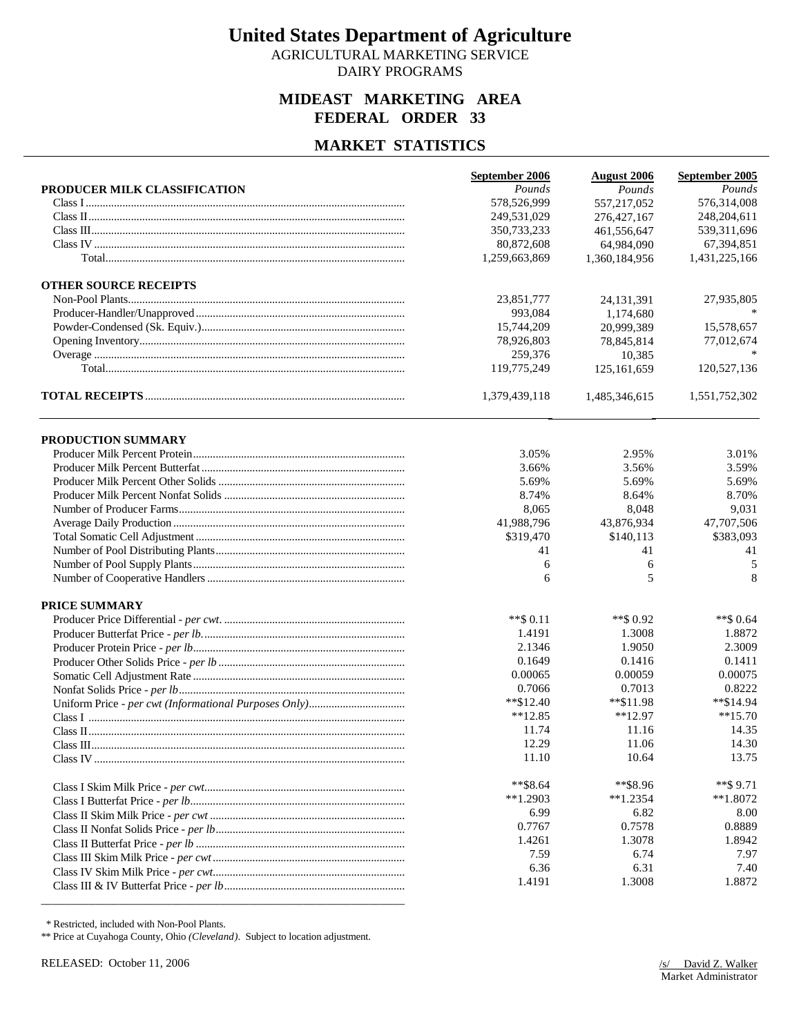AGRICULTURAL MARKETING SERVICE DAIRY PROGRAMS

## **MIDEAST MARKETING AREA FEDERAL ORDER 33**

## **MARKET STATISTICS**

|                              | September 2006 | <b>August 2006</b> | September 2005 |
|------------------------------|----------------|--------------------|----------------|
| PRODUCER MILK CLASSIFICATION | Pounds         | Pounds             | Pounds         |
|                              | 578,526,999    | 557,217,052        | 576,314,008    |
|                              | 249,531,029    | 276, 427, 167      | 248,204,611    |
|                              | 350,733,233    | 461,556,647        | 539,311,696    |
|                              | 80,872,608     | 64,984,090         | 67,394,851     |
|                              | 1,259,663,869  | 1,360,184,956      | 1,431,225,166  |
| <b>OTHER SOURCE RECEIPTS</b> |                |                    |                |
|                              | 23,851,777     | 24, 131, 391       | 27,935,805     |
|                              | 993,084        | 1.174.680          |                |
|                              | 15.744.209     | 20.999.389         | 15,578,657     |
|                              | 78,926,803     | 78,845,814         | 77,012,674     |
|                              | 259,376        | 10,385             |                |
|                              | 119,775,249    | 125, 161, 659      | 120,527,136    |
|                              | 1,379,439,118  | 1,485,346,615      | 1,551,752,302  |
| PRODUCTION SUMMARY           |                |                    |                |
|                              | 3.05%          | 2.95%              | 3.01%          |
|                              | 3.66%          | 3.56%              | 3.59%          |
|                              | 5.69%          | 5.69%              | 5.69%          |
|                              | 8.74%          | 8.64%              | 8.70%          |
|                              | 8,065          | 8,048              | 9,031          |
|                              | 41,988,796     | 43,876,934         | 47,707,506     |
|                              | \$319,470      | \$140,113          | \$383,093      |
|                              | 41             | 41                 | 41             |
|                              | 6              | 6                  | 5              |
|                              | 6              | 5                  | 8              |
| <b>PRICE SUMMARY</b>         |                |                    |                |
|                              | $**$ \$ 0.11   | ** \$0.92          | $**$ \$ 0.64   |
|                              | 1.4191         | 1.3008             | 1.8872         |
|                              | 2.1346         | 1.9050             | 2.3009         |
|                              | 0.1649         | 0.1416             | 0.1411         |
|                              | 0.00065        | 0.00059            | 0.00075        |
|                              | 0.7066         | 0.7013             | 0.8222         |
|                              | $*$ \$12.40    | $*$ $$11.98$       | **\$14.94      |
|                              | $**12.85$      | $**12.97$          | $**15.70$      |
|                              | 11.74          | 11.16              | 14.35          |
|                              | 12.29          | 11.06              | 14.30          |
|                              | 11.10          | 10.64              | 13.75          |
|                              | $**$ \$8.64    | **\$8.96           | $**$ \$9.71    |
|                              | $**1.2903$     | $**1.2354$         | $**1.8072$     |
|                              | 6.99           | 6.82               | 8.00           |
|                              | 0.7767         | 0.7578             | 0.8889         |
|                              | 1.4261         | 1.3078             | 1.8942         |
|                              | 7.59           | 6.74               | 7.97           |
|                              | 6.36           | 6.31               | 7.40           |
|                              | 1.4191         | 1.3008             | 1.8872         |

\* Restricted, included with Non-Pool Plants.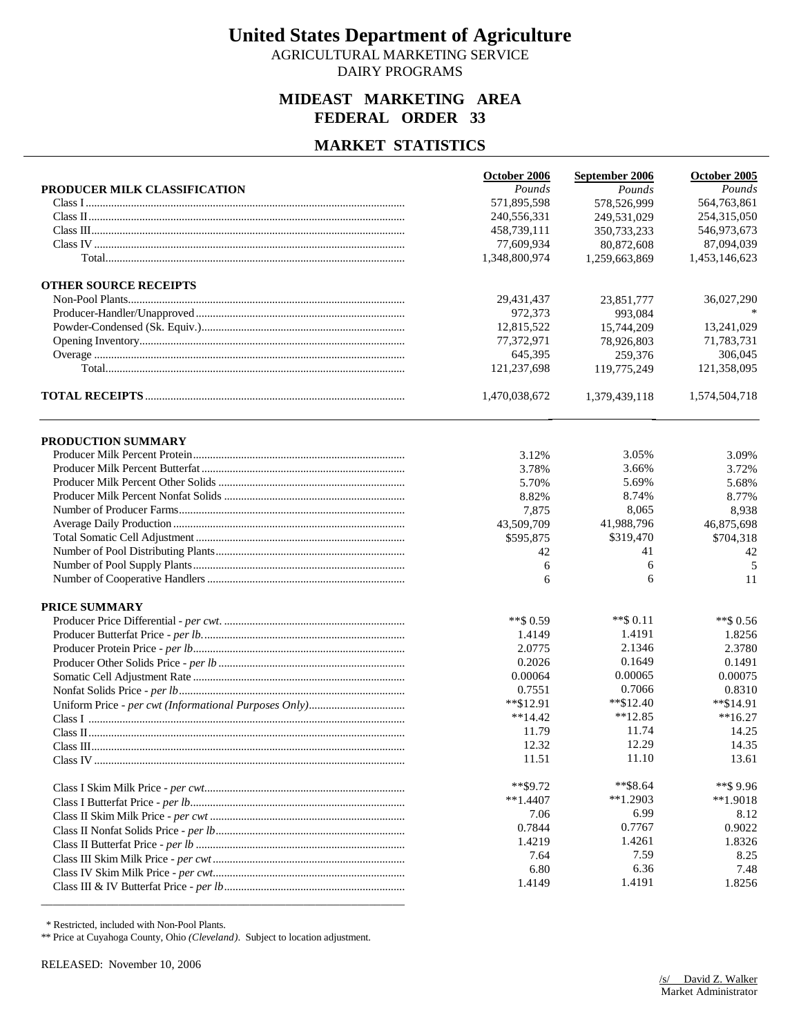AGRICULTURAL MARKETING SERVICE DAIRY PROGRAMS

## **MIDEAST MARKETING AREA FEDERAL ORDER 33**

### **MARKET STATISTICS**

|                              | October 2006  | September 2006 | October 2005  |
|------------------------------|---------------|----------------|---------------|
| PRODUCER MILK CLASSIFICATION | Pounds        | Pounds         | Pounds        |
|                              | 571,895,598   | 578,526,999    | 564,763,861   |
|                              | 240,556,331   | 249.531.029    | 254,315,050   |
|                              | 458,739,111   | 350,733,233    | 546,973,673   |
|                              | 77,609,934    | 80,872,608     | 87,094,039    |
|                              | 1,348,800,974 | 1,259,663,869  | 1,453,146,623 |
| <b>OTHER SOURCE RECEIPTS</b> |               |                |               |
|                              | 29,431,437    | 23,851,777     | 36,027,290    |
|                              | 972,373       | 993,084        |               |
|                              | 12,815,522    | 15,744,209     | 13,241,029    |
|                              | 77,372,971    | 78,926,803     | 71,783,731    |
|                              | 645,395       | 259,376        | 306,045       |
|                              | 121,237,698   | 119,775,249    | 121,358,095   |
|                              | 1,470,038,672 | 1,379,439,118  | 1,574,504,718 |
| PRODUCTION SUMMARY           |               |                |               |
|                              | 3.12%         | 3.05%          | 3.09%         |
|                              | 3.78%         | 3.66%          | 3.72%         |
|                              | 5.70%         | 5.69%          | 5.68%         |
|                              | 8.82%         | 8.74%          | 8.77%         |
|                              | 7,875         | 8,065          | 8,938         |
|                              | 43,509,709    | 41,988,796     | 46,875,698    |
|                              | \$595,875     | \$319,470      | \$704,318     |
|                              | 42            | 41             | 42            |
|                              | 6             | 6              | 5             |
|                              | 6             | 6              | 11            |
| <b>PRICE SUMMARY</b>         |               |                |               |
|                              | $**$ \$ 0.59  | $**$ \$ 0.11   | $**$ \$ 0.56  |
|                              | 1.4149        | 1.4191         | 1.8256        |
|                              | 2.0775        | 2.1346         | 2.3780        |
|                              | 0.2026        | 0.1649         | 0.1491        |
|                              | 0.00064       | 0.00065        | 0.00075       |
|                              | 0.7551        | 0.7066         | 0.8310        |
|                              | $*$ \$12.91   | $*$ \$12.40    | $*$ \$14.91   |
|                              | $**14.42$     | $*12.85$       | $**16.27$     |
|                              | 11.79         | 11.74          | 14.25         |
|                              | 12.32         | 12.29          | 14.35         |
|                              | 11.51         | 11.10          | 13.61         |
|                              | $*$ $$9.72$   | $*$ \$8.64     | $**$ \$9.96   |
|                              | $**1.4407$    | $*1.2903$      | $*1.9018$     |
|                              | 7.06          | 6.99           | 8.12          |
|                              | 0.7844        | 0.7767         | 0.9022        |
|                              | 1.4219        | 1.4261         | 1.8326        |
|                              | 7.64          | 7.59           | 8.25          |
|                              | 6.80          | 6.36           | 7.48          |
|                              | 1.4149        | 1.4191         | 1.8256        |

\* Restricted, included with Non-Pool Plants.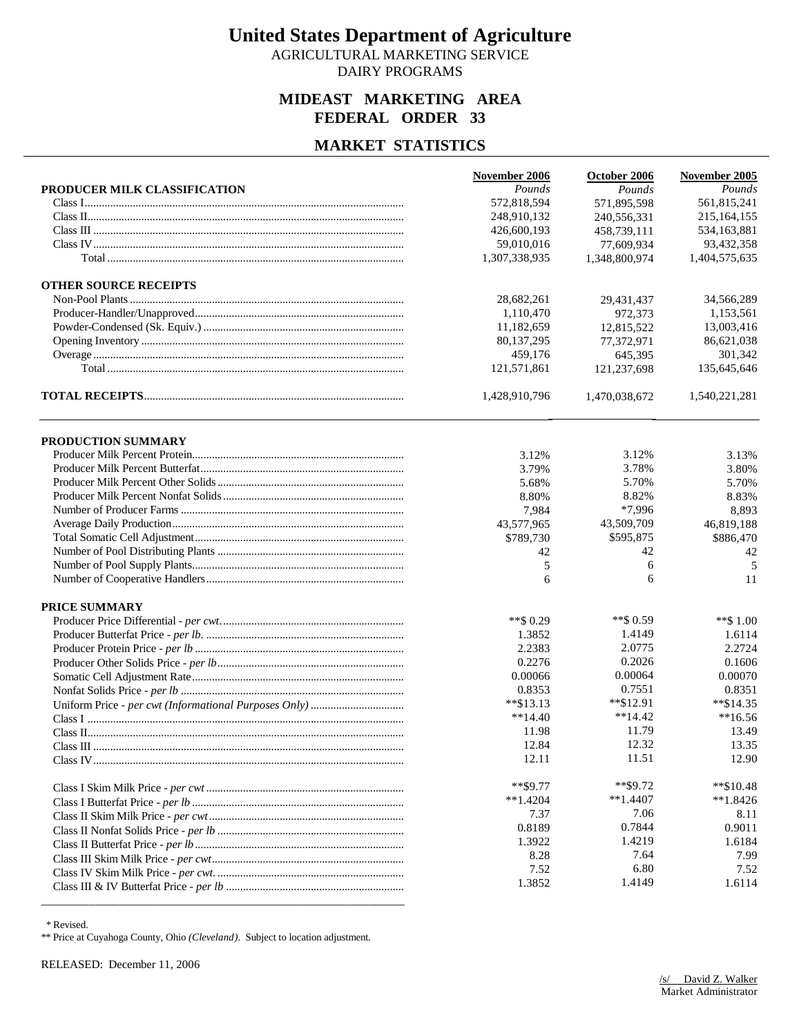AGRICULTURAL MARKETING SERVICE DAIRY PROGRAMS

## **MIDEAST MARKETING AREA FEDERAL ORDER 33**

## **MARKET STATISTICS**

|                              | November 2006 | October 2006  | November 2005 |
|------------------------------|---------------|---------------|---------------|
| PRODUCER MILK CLASSIFICATION | Pounds        | Pounds        | Pounds        |
|                              | 572,818,594   | 571,895,598   | 561,815,241   |
|                              | 248,910,132   | 240,556,331   | 215, 164, 155 |
|                              | 426,600,193   | 458,739,111   | 534,163,881   |
|                              | 59,010,016    | 77,609,934    | 93,432,358    |
|                              | 1,307,338,935 | 1,348,800,974 | 1,404,575,635 |
| <b>OTHER SOURCE RECEIPTS</b> |               |               |               |
|                              | 28,682,261    | 29,431,437    | 34,566,289    |
|                              | 1,110,470     | 972,373       | 1,153,561     |
|                              | 11,182,659    | 12.815.522    | 13,003,416    |
|                              | 80,137,295    | 77,372,971    | 86,621,038    |
|                              | 459,176       | 645,395       | 301,342       |
|                              | 121,571,861   | 121,237,698   | 135,645,646   |
|                              | 1,428,910,796 | 1,470,038,672 | 1,540,221,281 |
| PRODUCTION SUMMARY           |               |               |               |
|                              | 3.12%         | 3.12%         | 3.13%         |
|                              | 3.79%         | 3.78%         | 3.80%         |
|                              | 5.68%         | 5.70%         | 5.70%         |
|                              | 8.80%         | 8.82%         | 8.83%         |
|                              | 7,984         | *7,996        | 8,893         |
|                              | 43,577,965    | 43,509,709    | 46,819,188    |
|                              | \$789,730     | \$595,875     | \$886,470     |
|                              | 42            | 42            | 42            |
|                              | 5             | 6             | 5             |
|                              | 6             | 6             | 11            |
| <b>PRICE SUMMARY</b>         |               |               |               |
|                              | **\$ 0.29     | ** \$0.59     | **\$1.00      |
|                              | 1.3852        | 1.4149        | 1.6114        |
|                              | 2.2383        | 2.0775        | 2.2724        |
|                              | 0.2276        | 0.2026        | 0.1606        |
|                              | 0.00066       | 0.00064       | 0.00070       |
|                              | 0.8353        | 0.7551        | 0.8351        |
|                              | $*$ $$13.13$  | $*$ \$12.91   | $*$ \$14.35   |
|                              | $**14.40$     | $**14.42$     | $**16.56$     |
|                              | 11.98         | 11.79         | 13.49         |
|                              | 12.84         | 12.32         | 13.35         |
|                              | 12.11         | 11.51         | 12.90         |
|                              | $**$ \$9.77   | $*$ \$9.72    | $*$ \$10.48   |
|                              | $**1.4204$    | $**1.4407$    | $*1.8426$     |
|                              | 7.37          | 7.06          | 8.11          |
|                              | 0.8189        | 0.7844        | 0.9011        |
|                              | 1.3922        | 1.4219        | 1.6184        |
|                              | 8.28          | 7.64          | 7.99          |
|                              | 7.52          | 6.80          | 7.52          |
|                              | 1.3852        | 1.4149        | 1.6114        |

\* Revised.